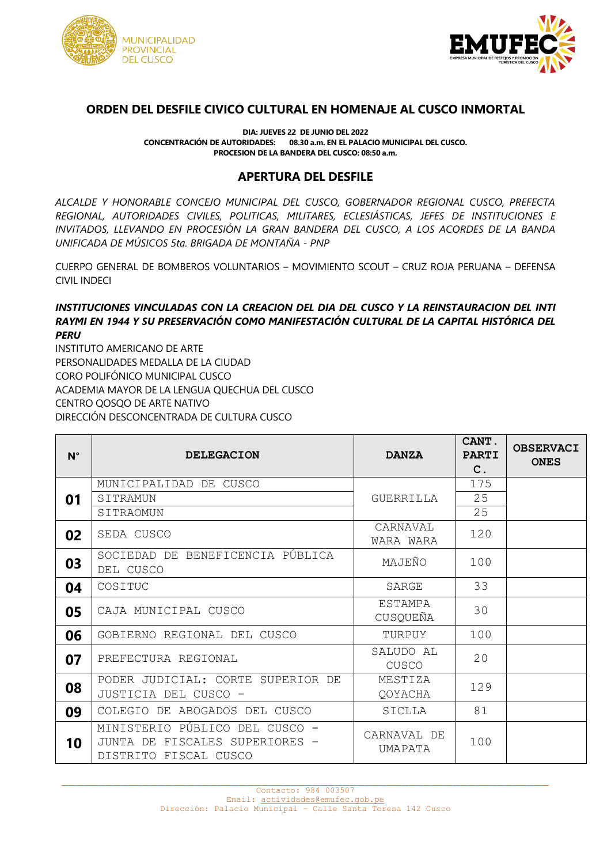



## **ORDEN DEL DESFILE CIVICO CULTURAL EN HOMENAJE AL CUSCO INMORTAL**

**DIA: JUEVES 22 DE JUNIO DEL 2022 CONCENTRACIÓN DE AUTORIDADES: 08.30 a.m. EN EL PALACIO MUNICIPAL DEL CUSCO. PROCESION DE LA BANDERA DEL CUSCO: 08:50 a.m.**

## **APERTURA DEL DESFILE**

*ALCALDE Y HONORABLE CONCEJO MUNICIPAL DEL CUSCO, GOBERNADOR REGIONAL CUSCO, PREFECTA REGIONAL, AUTORIDADES CIVILES, POLITICAS, MILITARES, ECLESIÁSTICAS, JEFES DE INSTITUCIONES E INVITADOS, LLEVANDO EN PROCESIÓN LA GRAN BANDERA DEL CUSCO, A LOS ACORDES DE LA BANDA UNIFICADA DE MÚSICOS 5ta. BRIGADA DE MONTAÑA - PNP*

CUERPO GENERAL DE BOMBEROS VOLUNTARIOS – MOVIMIENTO SCOUT – CRUZ ROJA PERUANA – DEFENSA CIVIL INDECI

## *INSTITUCIONES VINCULADAS CON LA CREACION DEL DIA DEL CUSCO Y LA REINSTAURACION DEL INTI RAYMI EN 1944 Y SU PRESERVACIÓN COMO MANIFESTACIÓN CULTURAL DE LA CAPITAL HISTÓRICA DEL PERU*

INSTITUTO AMERICANO DE ARTE PERSONALIDADES MEDALLA DE LA CIUDAD CORO POLIFÓNICO MUNICIPAL CUSCO ACADEMIA MAYOR DE LA LENGUA QUECHUA DEL CUSCO CENTRO QOSQO DE ARTE NATIVO DIRECCIÓN DESCONCENTRADA DE CULTURA CUSCO

| $N^{\circ}$ | <b>DELEGACION</b>                                                                         | <b>DANZA</b>           | CANT.<br><b>PARTI</b><br>$\mathbf{C}$ . | <b>OBSERVACI</b><br><b>ONES</b> |
|-------------|-------------------------------------------------------------------------------------------|------------------------|-----------------------------------------|---------------------------------|
|             | MUNICIPALIDAD DE CUSCO                                                                    |                        | 175                                     |                                 |
| 01          | SITRAMUN                                                                                  | <b>GUERRILLA</b>       | 25                                      |                                 |
|             | SITRAOMUN                                                                                 |                        | 25                                      |                                 |
| 02          | SEDA CUSCO                                                                                | CARNAVAL               | 120                                     |                                 |
|             |                                                                                           | WARA WARA              |                                         |                                 |
| 03          | SOCIEDAD DE BENEFICENCIA PÚBLICA<br>DEL CUSCO                                             | MAJEÑO                 | 100                                     |                                 |
| 04          | COSITUC                                                                                   | SARGE                  | 33                                      |                                 |
| 05          | CAJA MUNICIPAL CUSCO                                                                      | ESTAMPA<br>CUSQUEÑA    | 30                                      |                                 |
| 06          | GOBIERNO REGIONAL DEL CUSCO                                                               | TURPUY                 | 100                                     |                                 |
| 07          | PREFECTURA REGIONAL                                                                       | SALUDO AL<br>CUSCO     | 20                                      |                                 |
| 08          | PODER JUDICIAL: CORTE SUPERIOR DE<br>JUSTICIA DEL CUSCO -                                 | MESTIZA<br>QOYACHA     | 129                                     |                                 |
| 09          | COLEGIO DE ABOGADOS DEL CUSCO                                                             | SICLLA                 | 81                                      |                                 |
| 10          | MINISTERIO PÚBLICO DEL CUSCO -<br>JUNTA DE FISCALES SUPERIORES -<br>DISTRITO FISCAL CUSCO | CARNAVAL DE<br>UMAPATA | 100                                     |                                 |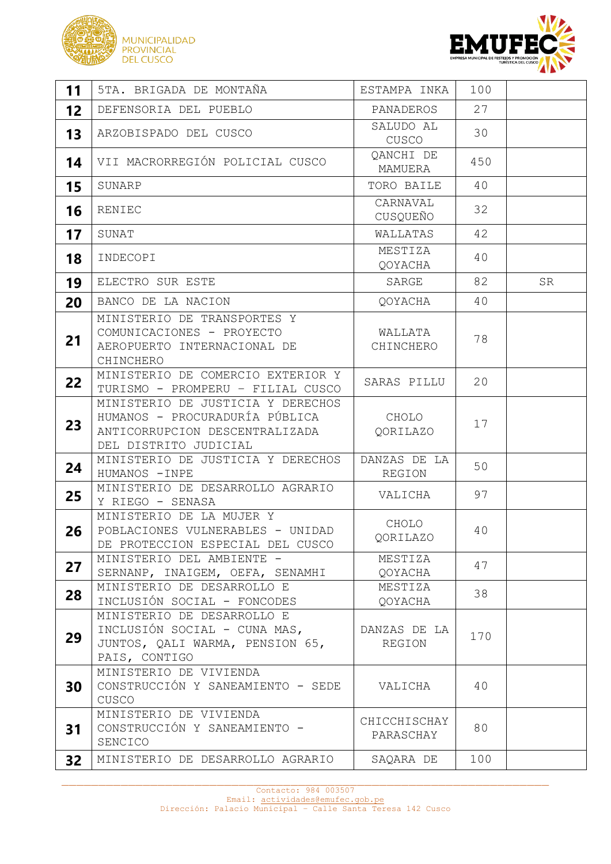



| 11 | 5TA. BRIGADA DE MONTAÑA                                                                                                        | ESTAMPA INKA              | 100 |    |
|----|--------------------------------------------------------------------------------------------------------------------------------|---------------------------|-----|----|
| 12 | DEFENSORIA DEL PUEBLO                                                                                                          | PANADEROS                 | 27  |    |
| 13 | ARZOBISPADO DEL CUSCO                                                                                                          | SALUDO AL<br>CUSCO        | 30  |    |
| 14 | VII MACRORREGIÓN POLICIAL CUSCO                                                                                                | OANCHI DE<br>MAMUERA      | 450 |    |
| 15 | SUNARP                                                                                                                         | TORO BAILE                | 40  |    |
| 16 | RENIEC                                                                                                                         | CARNAVAL<br>CUSQUEÑO      | 32  |    |
| 17 | SUNAT                                                                                                                          | WALLATAS                  | 42  |    |
| 18 | INDECOPI                                                                                                                       | MESTIZA<br>QOYACHA        | 40  |    |
| 19 | ELECTRO SUR ESTE                                                                                                               | SARGE                     | 82  | SR |
| 20 | BANCO DE LA NACION                                                                                                             | QOYACHA                   | 40  |    |
| 21 | MINISTERIO DE TRANSPORTES Y<br>COMUNICACIONES - PROYECTO<br>AEROPUERTO INTERNACIONAL DE<br>CHINCHERO                           | WALLATA<br>CHINCHERO      | 78  |    |
| 22 | MINISTERIO DE COMERCIO EXTERIOR Y<br>TURISMO - PROMPERU - FILIAL CUSCO                                                         | SARAS PILLU               | 20  |    |
| 23 | MINISTERIO DE JUSTICIA Y DERECHOS<br>HUMANOS - PROCURADURÍA PÚBLICA<br>ANTICORRUPCION DESCENTRALIZADA<br>DEL DISTRITO JUDICIAL | CHOLO<br>QORILAZO         | 17  |    |
| 24 | MINISTERIO DE JUSTICIA Y DERECHOS<br>HUMANOS - INPE                                                                            | DANZAS DE LA<br>REGION    | 50  |    |
| 25 | MINISTERIO DE DESARROLLO AGRARIO<br>Y RIEGO - SENASA                                                                           | VALICHA                   | 97  |    |
| 26 | MINISTERIO DE LA MUJER Y<br>POBLACIONES VULNERABLES - UNIDAD<br>DE PROTECCION ESPECIAL DEL CUSCO                               | CHOLO<br>QORILAZO         | 40  |    |
| 27 | MINISTERIO DEL AMBIENTE -<br>SERNANP, INAIGEM, OEFA, SENAMHI                                                                   | MESTIZA<br>QOYACHA        | 47  |    |
| 28 | MINISTERIO DE DESARROLLO E<br>INCLUSIÓN SOCIAL - FONCODES                                                                      | MESTIZA<br>QOYACHA        | 38  |    |
| 29 | MINISTERIO DE DESARROLLO E<br>INCLUSIÓN SOCIAL - CUNA MAS,<br>JUNTOS, QALI WARMA, PENSION 65,<br>PAIS, CONTIGO                 | DANZAS DE LA<br>REGION    | 170 |    |
| 30 | MINISTERIO DE VIVIENDA<br>CONSTRUCCIÓN Y SANEAMIENTO - SEDE<br>CUSCO                                                           | VALICHA                   | 40  |    |
| 31 | MINISTERIO DE VIVIENDA<br>CONSTRUCCIÓN Y SANEAMIENTO -<br>SENCICO                                                              | CHICCHISCHAY<br>PARASCHAY | 80  |    |
| 32 | MINISTERIO DE DESARROLLO AGRARIO                                                                                               | SAQARA DE                 | 100 |    |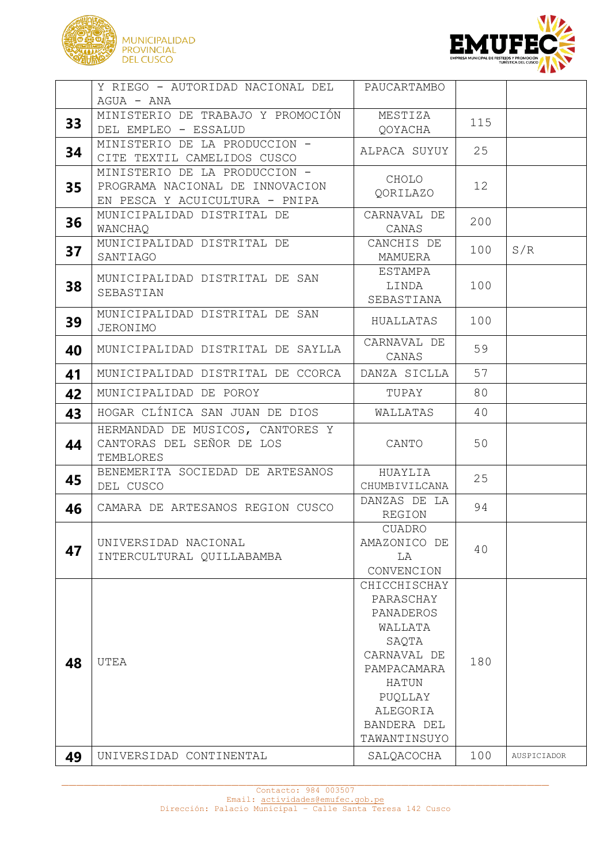



|    | Y RIEGO - AUTORIDAD NACIONAL DEL                                           | PAUCARTAMBO                                                                                                                                             |     |             |
|----|----------------------------------------------------------------------------|---------------------------------------------------------------------------------------------------------------------------------------------------------|-----|-------------|
|    | $AGUA - ANA$                                                               |                                                                                                                                                         |     |             |
|    | MINISTERIO DE TRABAJO Y PROMOCIÓN                                          | MESTIZA                                                                                                                                                 | 115 |             |
| 33 | DEL EMPLEO - ESSALUD                                                       | QOYACHA                                                                                                                                                 |     |             |
| 34 | MINISTERIO DE LA PRODUCCION -<br>CITE TEXTIL CAMELIDOS CUSCO               | ALPACA SUYUY                                                                                                                                            | 25  |             |
| 35 | MINISTERIO DE LA PRODUCCION -<br>PROGRAMA NACIONAL DE INNOVACION           | CHOLO<br>QORILAZO                                                                                                                                       | 12  |             |
|    | EN PESCA Y ACUICULTURA - PNIPA                                             |                                                                                                                                                         |     |             |
| 36 | MUNICIPALIDAD DISTRITAL DE<br>WANCHAQ                                      | CARNAVAL DE<br>CANAS                                                                                                                                    | 200 |             |
| 37 | MUNICIPALIDAD DISTRITAL DE<br>SANTIAGO                                     | CANCHIS DE<br>MAMUERA                                                                                                                                   | 100 | S/R         |
| 38 | MUNICIPALIDAD DISTRITAL DE SAN<br>SEBASTIAN                                | ESTAMPA<br>LINDA<br>SEBASTIANA                                                                                                                          | 100 |             |
| 39 | MUNICIPALIDAD DISTRITAL DE SAN<br><b>JERONIMO</b>                          | HUALLATAS                                                                                                                                               | 100 |             |
| 40 | MUNICIPALIDAD DISTRITAL DE SAYLLA                                          | CARNAVAL DE<br>CANAS                                                                                                                                    | 59  |             |
| 41 | MUNICIPALIDAD DISTRITAL DE CCORCA                                          | DANZA SICLLA                                                                                                                                            | 57  |             |
| 42 | MUNICIPALIDAD DE POROY                                                     | TUPAY                                                                                                                                                   | 80  |             |
| 43 | HOGAR CLÍNICA SAN JUAN DE DIOS                                             | WALLATAS                                                                                                                                                | 40  |             |
| 44 | HERMANDAD DE MUSICOS, CANTORES Y<br>CANTORAS DEL SEÑOR DE LOS<br>TEMBLORES | CANTO                                                                                                                                                   | 50  |             |
| 45 | BENEMERITA SOCIEDAD DE ARTESANOS<br>DEL CUSCO                              | HUAYLIA<br>CHUMBIVILCANA                                                                                                                                | 25  |             |
| 46 | CAMARA DE ARTESANOS REGION CUSCO                                           | DANZAS DE LA<br>REGION                                                                                                                                  | 94  |             |
| 47 | UNIVERSIDAD NACIONAL<br>INTERCULTURAL QUILLABAMBA                          | <b>CUADRO</b><br>AMAZONICO DE<br>LA<br>CONVENCION                                                                                                       | 40  |             |
| 48 | UTEA                                                                       | CHICCHISCHAY<br>PARASCHAY<br>PANADEROS<br>WALLATA<br>SAQTA<br>CARNAVAL DE<br>PAMPACAMARA<br>HATUN<br>PUQLLAY<br>ALEGORIA<br>BANDERA DEL<br>TAWANTINSUYO | 180 |             |
| 49 | UNIVERSIDAD CONTINENTAL                                                    | SALQACOCHA                                                                                                                                              | 100 | AUSPICIADOR |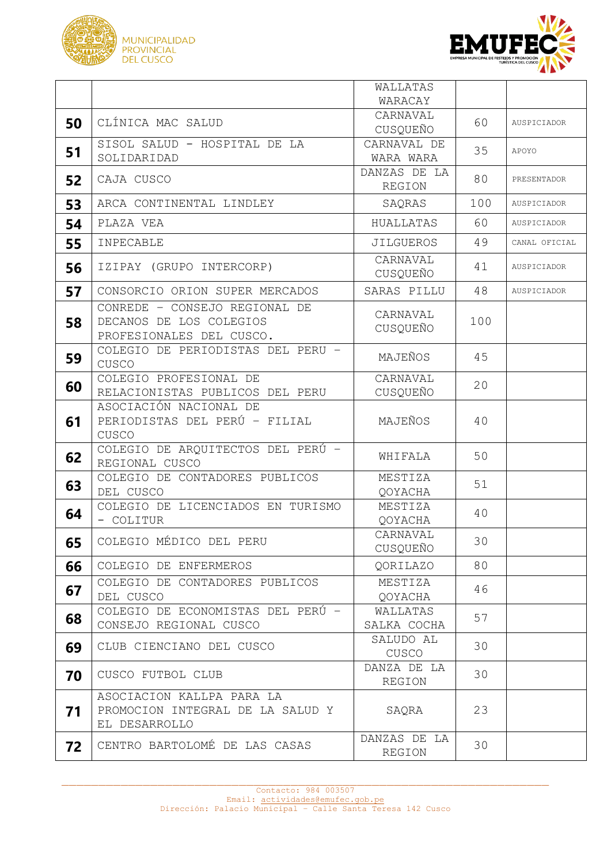



|    |                                                                                      | WALLATAS                      |     |               |
|----|--------------------------------------------------------------------------------------|-------------------------------|-----|---------------|
|    |                                                                                      | WARACAY                       |     |               |
|    | CLÍNICA MAC SALUD                                                                    | CARNAVAL                      | 60  | AUSPICIADOR   |
| 50 |                                                                                      | CUSQUEÑO                      |     |               |
|    | SISOL SALUD - HOSPITAL DE LA                                                         | CARNAVAL DE                   | 35  |               |
| 51 | SOLIDARIDAD                                                                          | WARA WARA                     |     | APOYO         |
| 52 | CAJA CUSCO                                                                           | DANZAS DE LA<br><b>REGION</b> | 80  | PRESENTADOR   |
| 53 | ARCA CONTINENTAL LINDLEY                                                             | SAQRAS                        | 100 | AUSPICIADOR   |
| 54 | PLAZA VEA                                                                            | HUALLATAS                     | 60  | AUSPICIADOR   |
| 55 | INPECABLE                                                                            | <b>JILGUEROS</b>              | 49  | CANAL OFICIAL |
| 56 | IZIPAY (GRUPO INTERCORP)                                                             | CARNAVAL<br>CUSQUEÑO          | 41  | AUSPICIADOR   |
| 57 | CONSORCIO ORION SUPER MERCADOS                                                       | SARAS PILLU                   | 48  | AUSPICIADOR   |
| 58 | CONREDE - CONSEJO REGIONAL DE<br>DECANOS DE LOS COLEGIOS<br>PROFESIONALES DEL CUSCO. | CARNAVAL<br>CUSQUEÑO          | 100 |               |
| 59 | COLEGIO DE PERIODISTAS DEL PERU -<br>CUSCO                                           | MAJEÑOS                       | 45  |               |
| 60 | COLEGIO PROFESIONAL DE<br>RELACIONISTAS PUBLICOS DEL PERU                            | CARNAVAL<br>CUSQUEÑO          | 20  |               |
| 61 | ASOCIACIÓN NACIONAL DE<br>PERIODISTAS DEL PERÚ - FILIAL<br>CUSCO                     | MAJEÑOS                       | 40  |               |
| 62 | COLEGIO DE ARQUITECTOS DEL PERÚ -<br>REGIONAL CUSCO                                  | WHIFALA                       | 50  |               |
| 63 | COLEGIO DE CONTADORES PUBLICOS<br>DEL CUSCO                                          | MESTIZA<br>QOYACHA            | 51  |               |
| 64 | COLEGIO DE LICENCIADOS EN TURISMO<br>- COLITUR                                       | MESTIZA<br>QOYACHA            | 40  |               |
| 65 | COLEGIO MÉDICO DEL PERU                                                              | CARNAVAL<br>CUSQUEÑO          | 30  |               |
| 66 | COLEGIO DE ENFERMEROS                                                                | <b>OORILAZO</b>               | 80  |               |
| 67 | COLEGIO DE CONTADORES PUBLICOS<br>DEL CUSCO                                          | MESTIZA<br>QOYACHA            | 46  |               |
| 68 | COLEGIO DE ECONOMISTAS DEL PERÚ -<br>CONSEJO REGIONAL CUSCO                          | WALLATAS<br>SALKA COCHA       | 57  |               |
| 69 | CLUB CIENCIANO DEL CUSCO                                                             | SALUDO AL<br>CUSCO            | 30  |               |
| 70 | CUSCO FUTBOL CLUB                                                                    | DANZA DE LA<br>REGION         | 30  |               |
| 71 | ASOCIACION KALLPA PARA LA<br>PROMOCION INTEGRAL DE LA SALUD Y<br>EL DESARROLLO       | SAQRA                         | 23  |               |
| 72 | CENTRO BARTOLOMÉ DE LAS CASAS                                                        | DANZAS DE LA<br>REGION        | 30  |               |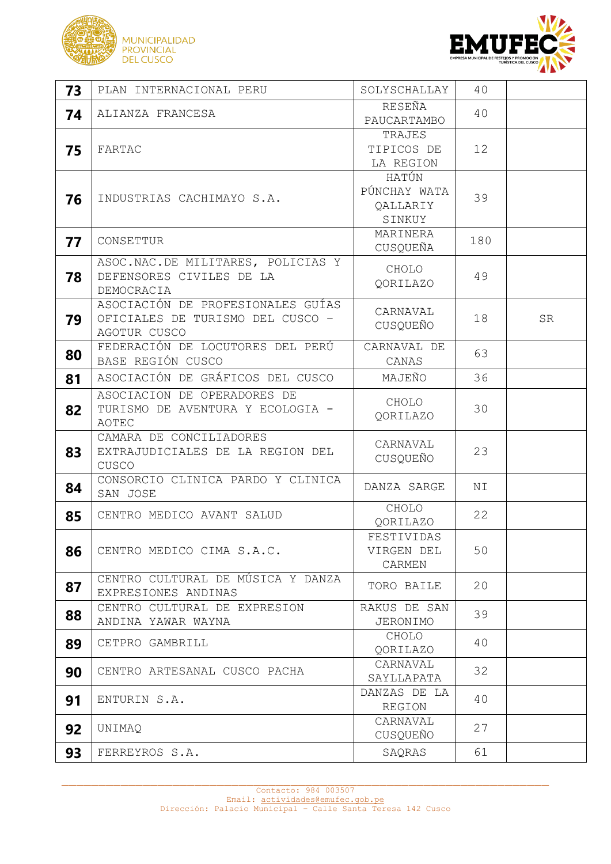



| 73 | PLAN INTERNACIONAL PERU                                                               | SOLYSCHALLAY                                | 40  |    |
|----|---------------------------------------------------------------------------------------|---------------------------------------------|-----|----|
| 74 | ALIANZA FRANCESA                                                                      | RESEÑA<br>PAUCARTAMBO                       | 40  |    |
| 75 | <b>FARTAC</b>                                                                         | TRAJES<br>TIPICOS DE<br>LA REGION           | 12  |    |
| 76 | INDUSTRIAS CACHIMAYO S.A.                                                             | HATÚN<br>PÚNCHAY WATA<br>QALLARIY<br>SINKUY | 39  |    |
| 77 | CONSETTUR                                                                             | MARINERA<br>CUSQUEÑA                        | 180 |    |
| 78 | ASOC.NAC.DE MILITARES, POLICIAS Y<br>DEFENSORES CIVILES DE LA<br>DEMOCRACIA           | CHOLO<br>QORILAZO                           | 49  |    |
| 79 | ASOCIACIÓN DE PROFESIONALES GUÍAS<br>OFICIALES DE TURISMO DEL CUSCO -<br>AGOTUR CUSCO | CARNAVAL<br>CUSQUEÑO                        | 18  | SR |
| 80 | FEDERACIÓN DE LOCUTORES DEL PERÚ<br>BASE REGIÓN CUSCO                                 | CARNAVAL DE<br>CANAS                        | 63  |    |
| 81 | ASOCIACIÓN DE GRÁFICOS DEL CUSCO                                                      | MAJEÑO                                      | 36  |    |
| 82 | ASOCIACION DE OPERADORES DE<br>TURISMO DE AVENTURA Y ECOLOGIA -<br>AOTEC              | CHOLO<br>QORILAZO                           | 30  |    |
| 83 | CAMARA DE CONCILIADORES<br>EXTRAJUDICIALES DE LA REGION DEL<br>CUSCO                  | CARNAVAL<br>CUSQUEÑO                        | 23  |    |
| 84 | CONSORCIO CLINICA PARDO Y CLINICA<br>SAN JOSE                                         | DANZA SARGE                                 | ΝI  |    |
| 85 | CENTRO MEDICO AVANT SALUD                                                             | CHOLO<br>QORILAZO                           | 22  |    |
| 86 | CENTRO MEDICO CIMA S.A.C.                                                             | FESTIVIDAS<br>VIRGEN DEL<br>CARMEN          | 50  |    |
| 87 | CENTRO CULTURAL DE MÚSICA Y DANZA<br>EXPRESIONES ANDINAS                              | TORO BAILE                                  | 20  |    |
| 88 | CENTRO CULTURAL DE EXPRESION<br>ANDINA YAWAR WAYNA                                    | RAKUS DE SAN<br>JERONIMO                    | 39  |    |
| 89 | CETPRO GAMBRILL                                                                       | CHOLO<br>QORILAZO                           | 40  |    |
| 90 | CENTRO ARTESANAL CUSCO PACHA                                                          | CARNAVAL<br>SAYLLAPATA                      | 32  |    |
| 91 | ENTURIN S.A.                                                                          | DANZAS DE LA<br>REGION                      | 40  |    |
| 92 | UNIMAQ                                                                                | CARNAVAL<br>CUSQUEÑO                        | 27  |    |
| 93 | FERREYROS S.A.                                                                        | SAQRAS                                      | 61  |    |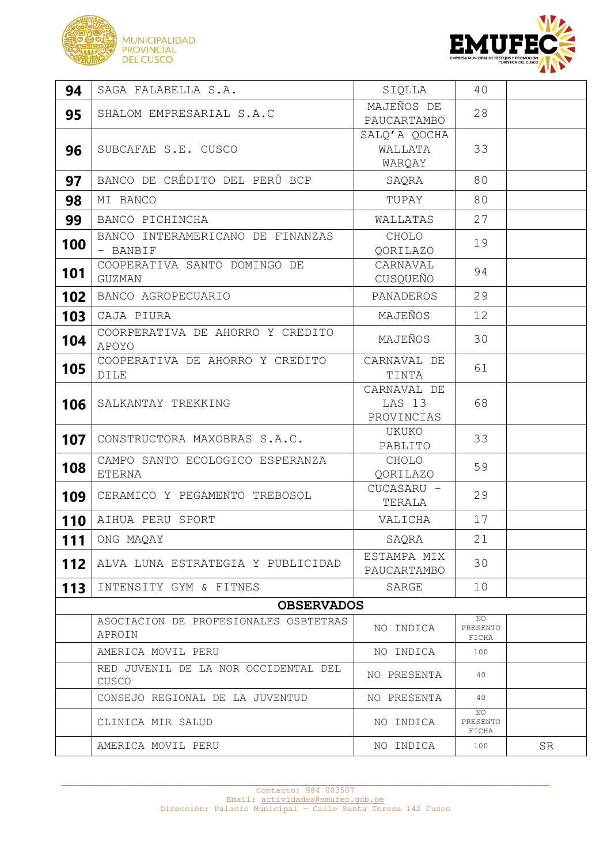



| 94  | SAGA FALABELLA S.A.                              | SIQLLA                              | 40                      |    |  |
|-----|--------------------------------------------------|-------------------------------------|-------------------------|----|--|
| 95  | SHALOM EMPRESARIAL S.A.C                         | MAJEÑOS DE<br>PAUCARTAMBO           | 28                      |    |  |
| 96  | SUBCAFAE S.E. CUSCO                              | SALQ'A QOCHA<br>WALLATA<br>WARQAY   | 33                      |    |  |
| 97  | BANCO DE CRÉDITO DEL PERÚ BCP                    | SAQRA                               | 80                      |    |  |
| 98  | MI BANCO                                         | TUPAY                               | 80                      |    |  |
| 99  | BANCO PICHINCHA                                  | WALLATAS                            | 27                      |    |  |
| 100 | BANCO INTERAMERICANO DE FINANZAS<br>- BANBIF     | CHOLO<br>QORILAZO                   | 19                      |    |  |
| 101 | COOPERATIVA SANTO DOMINGO DE<br>GUZMAN           | CARNAVAL<br>CUSQUEÑO                | 94                      |    |  |
| 102 | BANCO AGROPECUARIO                               | PANADEROS                           | 29                      |    |  |
| 103 | CAJA PIURA                                       | MAJEÑOS                             | 12                      |    |  |
| 104 | COORPERATIVA DE AHORRO Y CREDITO<br>APOYO        | MAJEÑOS                             | 30                      |    |  |
| 105 | COOPERATIVA DE AHORRO Y CREDITO<br>DILE          | CARNAVAL DE<br>TINTA                | 61                      |    |  |
| 106 | SALKANTAY TREKKING                               | CARNAVAL DE<br>LAS 13<br>PROVINCIAS | 68                      |    |  |
| 107 | CONSTRUCTORA MAXOBRAS S.A.C.                     | UKUKO<br>PABLITO                    | 33                      |    |  |
| 108 | CAMPO SANTO ECOLOGICO ESPERANZA<br><b>ETERNA</b> | CHOLO<br>QORILAZO                   | 59                      |    |  |
| 109 | CERAMICO Y PEGAMENTO TREBOSOL                    | CUCASARU -<br>TERALA                | 29                      |    |  |
| 110 | AIHUA PERU SPORT                                 | VALICHA                             | 17                      |    |  |
| 111 | ONG MAQAY                                        | SAQRA                               | 21                      |    |  |
| 112 | ALVA LUNA ESTRATEGIA Y PUBLICIDAD                | ESTAMPA MIX<br>PAUCARTAMBO          | 30                      |    |  |
| 113 | INTENSITY GYM & FITNES                           | SARGE                               | 10                      |    |  |
|     | <b>OBSERVADOS</b>                                |                                     |                         |    |  |
|     | ASOCIACION DE PROFESIONALES OSBTETRAS<br>APROIN  | NO INDICA                           | NO<br>PRESENTO<br>FICHA |    |  |
|     | AMERICA MOVIL PERU                               | NO INDICA                           | 100                     |    |  |
|     | RED JUVENIL DE LA NOR OCCIDENTAL DEL<br>CUSCO    | NO PRESENTA                         | 40                      |    |  |
|     | CONSEJO REGIONAL DE LA JUVENTUD                  | NO PRESENTA                         | 40                      |    |  |
|     | CLINICA MIR SALUD                                | NO INDICA                           | NO<br>PRESENTO<br>FICHA |    |  |
|     | AMERICA MOVIL PERU                               | NO INDICA                           | 100                     | SR |  |